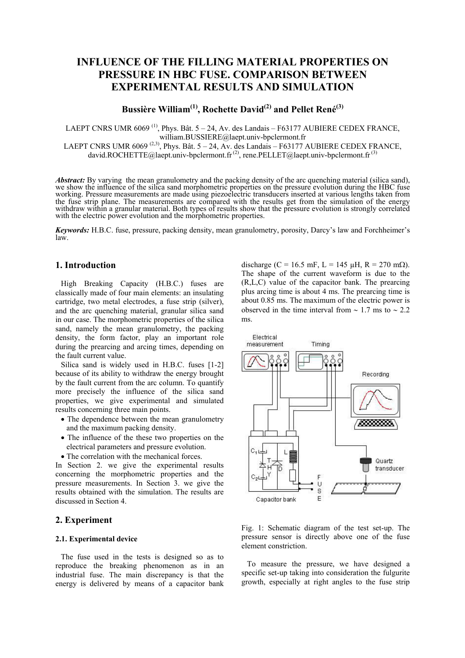# **INFLUENCE OF THE FILLING MATERIAL PROPERTIES ON PRESSURE IN HBC FUSE. COMPARISON BETWEEN EXPERIMENTAL RESULTS AND SIMULATION**

**Bussière William(1), Rochette David(2) and Pellet René(3)**

LAEPT CNRS UMR  $6069$ <sup>(1)</sup>, Phys. Bât.  $5 - 24$ , Av. des Landais – F63177 AUBIERE CEDEX FRANCE, william.BUSSIERE@laept.univ-bpclermont.fr

LAEPT CNRS UMR 6069<sup>(2,3)</sup>, Phys. Bât. 5 – 24, Av. des Landais – F63177 AUBIERE CEDEX FRANCE, david.ROCHETTE@laept.univ-bpclermont.fr<sup>(2)</sup>, rene.PELLET@laept.univ-bpclermont.fr<sup>(3)</sup>

*Abstract:* By varying the mean granulometry and the packing density of the arc quenching material (silica sand), we show the influence of the silica sand morphometric properties on the pressure evolution during the HBC fuse working. Pressure measurements are made using piezoelectric transducers inserted at various lengths taken from the fuse strip plane. The measurements are compared with the results get from the simulation of the energy withdraw within a granular material. Both types of results show that the pressure evolution is strongly correlated with the electric power evolution and the morphometric properties.

*Keywords:* H.B.C. fuse, pressure, packing density, mean granulometry, porosity, Darcy's law and Forchheimer's law.

# **1. Introduction**

High Breaking Capacity (H.B.C.) fuses are classically made of four main elements: an insulating cartridge, two metal electrodes, a fuse strip (silver), and the arc quenching material, granular silica sand in our case. The morphometric properties of the silica sand, namely the mean granulometry, the packing density, the form factor, play an important role during the prearcing and arcing times, depending on the fault current value.

Silica sand is widely used in H.B.C. fuses [1-2] because of its ability to withdraw the energy brought by the fault current from the arc column. To quantify more precisely the influence of the silica sand properties, we give experimental and simulated results concerning three main points.

- The dependence between the mean granulometry and the maximum packing density.
- The influence of the these two properties on the electrical parameters and pressure evolution.
- The correlation with the mechanical forces.

In Section 2. we give the experimental results concerning the morphometric properties and the pressure measurements. In Section 3. we give the results obtained with the simulation. The results are discussed in Section 4.

# **2. Experiment**

## **2.1. Experimental device**

The fuse used in the tests is designed so as to reproduce the breaking phenomenon as in an industrial fuse. The main discrepancy is that the energy is delivered by means of a capacitor bank

discharge (C = 16.5 mF, L = 145  $\mu$ H, R = 270 m $\Omega$ ). The shape of the current waveform is due to the (R,L,C) value of the capacitor bank. The prearcing plus arcing time is about 4 ms. The prearcing time is about 0.85 ms. The maximum of the electric power is observed in the time interval from  $\sim$  1.7 ms to  $\sim$  2.2 ms.



Fig. 1: Schematic diagram of the test set-up. The pressure sensor is directly above one of the fuse element constriction.

To measure the pressure, we have designed a specific set-up taking into consideration the fulgurite growth, especially at right angles to the fuse strip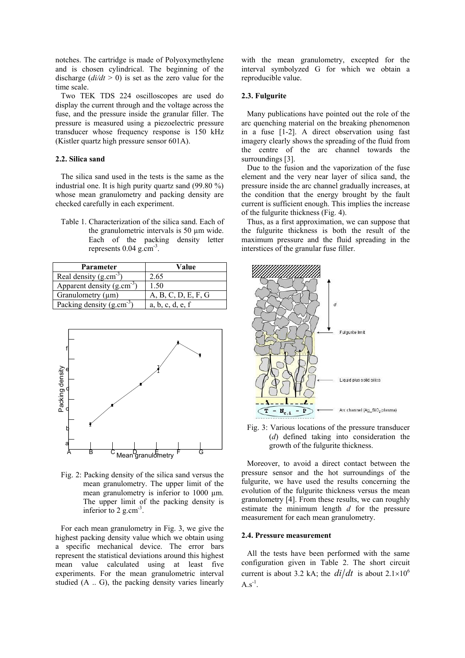notches. The cartridge is made of Polyoxymethylene and is chosen cylindrical. The beginning of the discharge  $\left(\frac{di}{dt} > 0\right)$  is set as the zero value for the time scale.

Two TEK TDS 224 oscilloscopes are used do display the current through and the voltage across the fuse, and the pressure inside the granular filler. The pressure is measured using a piezoelectric pressure transducer whose frequency response is 150 kHz (Kistler quartz high pressure sensor 601A).

## **2.2. Silica sand**

The silica sand used in the tests is the same as the industrial one. It is high purity quartz sand (99.80 %) whose mean granulometry and packing density are checked carefully in each experiment.

Table 1. Characterization of the silica sand. Each of the granulometric intervals is 50 µm wide. Each of the packing density letter represents  $0.04$  g.cm<sup>-3</sup>.

| Parameter                      | Value               |  |  |
|--------------------------------|---------------------|--|--|
| Real density $(g.cm^{-3})$     | 2.65                |  |  |
| Apparent density $(g.cm^{-3})$ | 1.50                |  |  |
| Granulometry $(\mu m)$         | A, B, C, D, E, F, G |  |  |
| Packing density $(g.cm^{-3})$  | a, b, c, d, e, f    |  |  |



Fig. 2: Packing density of the silica sand versus the mean granulometry. The upper limit of the mean granulometry is inferior to 1000 um. The upper limit of the packing density is inferior to  $2$  g.cm<sup>-3</sup>.

For each mean granulometry in Fig. 3, we give the highest packing density value which we obtain using a specific mechanical device. The error bars represent the statistical deviations around this highest mean value calculated using at least five experiments. For the mean granulometric interval studied (A .. G), the packing density varies linearly

with the mean granulometry, excepted for the interval symbolyzed G for which we obtain a reproducible value.

#### **2.3. Fulgurite**

Many publications have pointed out the role of the arc quenching material on the breaking phenomenon in a fuse [1-2]. A direct observation using fast imagery clearly shows the spreading of the fluid from the centre of the arc channel towards the surroundings [3].

Due to the fusion and the vaporization of the fuse element and the very near layer of silica sand, the pressure inside the arc channel gradually increases, at the condition that the energy brought by the fault current is sufficient enough. This implies the increase of the fulgurite thickness (Fig. 4).

Thus, as a first approximation, we can suppose that the fulgurite thickness is both the result of the maximum pressure and the fluid spreading in the interstices of the granular fuse filler.



Fig. 3: Various locations of the pressure transducer (*d*) defined taking into consideration the growth of the fulgurite thickness.

Moreover, to avoid a direct contact between the pressure sensor and the hot surroundings of the fulgurite, we have used the results concerning the evolution of the fulgurite thickness versus the mean granulometry [4]. From these results, we can roughly estimate the minimum length *d* for the pressure measurement for each mean granulometry.

#### **2.4. Pressure measurement**

All the tests have been performed with the same configuration given in Table 2. The short circuit current is about 3.2 kA; the  $di/dt$  is about  $2.1 \times 10^6$  $A.s^{-1}$ .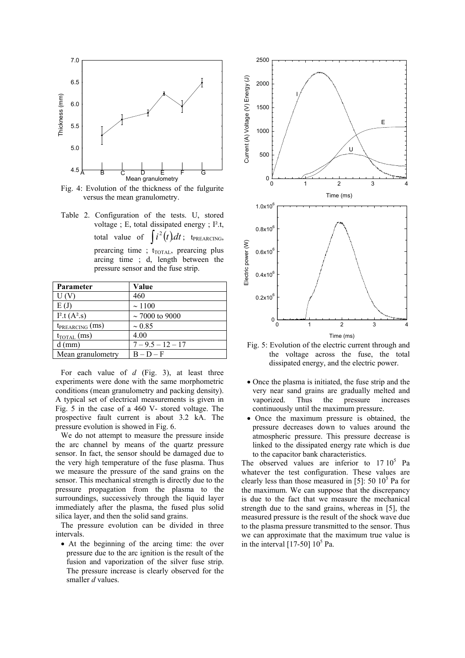

Fig. 4: Evolution of the thickness of the fulgurite versus the mean granulometry.

Table 2. Configuration of the tests. U, stored voltage ; E, total dissipated energy ; I².t, total value of  $\int i^2(t)dt$ ; t<sub>PREARCING</sub>, prearcing time ; t<sub>TOTAL</sub>, prearcing plus arcing time ; d, length between the pressure sensor and the fuse strip.

| Parameter               | Value               |
|-------------------------|---------------------|
| U(V)                    | 460                 |
| E(J)                    | ~1100               |
| $I^2.t (A^2.s)$         | $\sim$ 7000 to 9000 |
| $t_{PREARCING}(ms)$     | $\sim 0.85$         |
| $t_{\text{TOTAL}}$ (ms) | 4.00                |
| $d$ (mm)                | $7 - 9.5 - 12 - 17$ |
| Mean granulometry       | $B - D - F$         |

For each value of *d* (Fig. 3), at least three experiments were done with the same morphometric conditions (mean granulometry and packing density). A typical set of electrical measurements is given in Fig. 5 in the case of a 460 V- stored voltage. The prospective fault current is about 3.2 kA. The pressure evolution is showed in Fig. 6.

We do not attempt to measure the pressure inside the arc channel by means of the quartz pressure sensor. In fact, the sensor should be damaged due to the very high temperature of the fuse plasma. Thus we measure the pressure of the sand grains on the sensor. This mechanical strength is directly due to the pressure propagation from the plasma to the surroundings, successively through the liquid layer immediately after the plasma, the fused plus solid silica layer, and then the solid sand grains.

The pressure evolution can be divided in three intervals.

• At the beginning of the arcing time: the over pressure due to the arc ignition is the result of the fusion and vaporization of the silver fuse strip. The pressure increase is clearly observed for the smaller *d* values.



Fig. 5: Evolution of the electric current through and the voltage across the fuse, the total dissipated energy, and the electric power.

- Once the plasma is initiated, the fuse strip and the very near sand grains are gradually melted and vaporized. Thus the pressure increases continuously until the maximum pressure.
- Once the maximum pressure is obtained, the pressure decreases down to values around the atmospheric pressure. This pressure decrease is linked to the dissipated energy rate which is due to the capacitor bank characteristics.

The observed values are inferior to  $17 10^5$  Pa whatever the test configuration. These values are clearly less than those measured in [5]:  $50 \, 10^5$  Pa for the maximum. We can suppose that the discrepancy is due to the fact that we measure the mechanical strength due to the sand grains, whereas in [5], the measured pressure is the result of the shock wave due to the plasma pressure transmitted to the sensor. Thus we can approximate that the maximum true value is in the interval  $[17-50]$   $10^5$  Pa.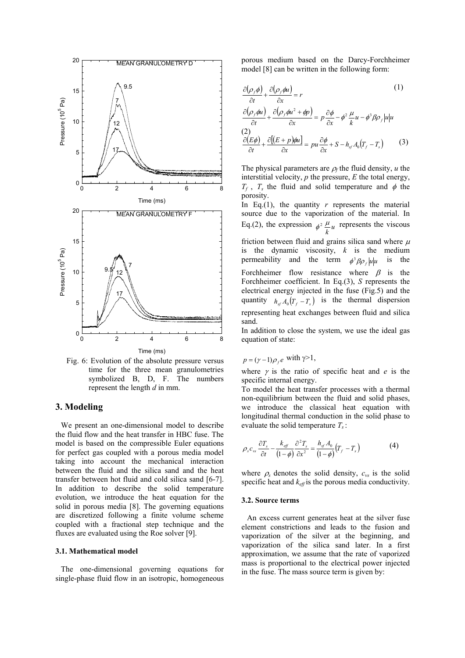

Fig. 6: Evolution of the absolute pressure versus time for the three mean granulometries symbolized B, D, F. The numbers represent the length *d* in mm.

# **3. Modeling**

We present an one-dimensional model to describe the fluid flow and the heat transfer in HBC fuse. The model is based on the compressible Euler equations for perfect gas coupled with a porous media model taking into account the mechanical interaction between the fluid and the silica sand and the heat transfer between hot fluid and cold silica sand [6-7]. In addition to describe the solid temperature evolution, we introduce the heat equation for the solid in porous media [8]. The governing equations are discretized following a finite volume scheme coupled with a fractional step technique and the fluxes are evaluated using the Roe solver [9].

#### **3.1. Mathematical model**

The one-dimensional governing equations for single-phase fluid flow in an isotropic, homogeneous

porous medium based on the Darcy-Forchheimer model [8] can be written in the following form:

$$
\frac{\partial(\rho_f \phi)}{\partial t} + \frac{\partial(\rho_f \phi u)}{\partial x} = r
$$
\n
$$
\frac{\partial(\rho_f \phi u)}{\partial t} + \frac{\partial(\rho_f \phi u^2 + \phi p)}{\partial x} = p \frac{\partial \phi}{\partial x} - \phi^2 \frac{\mu}{k} u - \phi^3 \beta \rho_f |u| u
$$
\n
$$
\frac{\partial(\varepsilon \phi)}{\partial t} + \frac{\partial[(E + p)\phi u]}{\partial x} = pu \frac{\partial \phi}{\partial x} + S - h_{st} A_0 (T_f - T_s)
$$
\n(3)

The physical parameters are  $\rho_f$  the fluid density, *u* the interstitial velocity, *p* the pressure, *E* the total energy,  $T_f$ ,  $T_s$  the fluid and solid temperature and  $\phi$  the porosity.

In Eq.(1), the quantity  $r$  represents the material source due to the vaporization of the material. In Eq.(2), the expression  $\phi^2 \frac{\mu}{k} u$  $\phi^2 \frac{\mu}{l} u$  represents the viscous friction between fluid and grains silica sand where  $\mu$ is the dynamic viscosity, *k* is the medium permeability and the term  $\phi^3 \beta \rho_f |u| u$  is the Forchheimer flow resistance where  $\beta$  is the Forchheimer coefficient. In Eq.(3), *S* represents the electrical energy injected in the fuse (Fig.5) and the quantity  $h_{sf} A_0 (T_f - T_s)$  is the thermal dispersion representing heat exchanges between fluid and silica sand.

In addition to close the system, we use the ideal gas equation of state:

$$
p = (\gamma - 1)\rho_f e \text{ with } \gamma > 1,
$$

where  $\gamma$  is the ratio of specific heat and  $e$  is the specific internal energy.

To model the heat transfer processes with a thermal non-equilibrium between the fluid and solid phases, we introduce the classical heat equation with longitudinal thermal conduction in the solid phase to evaluate the solid temperature *T<sup>s</sup>* :

$$
\rho_s c_{vs} \frac{\partial T_s}{\partial t} - \frac{k_{\text{eff}}}{(1-\phi)} \frac{\partial^2 T_s}{\partial x^2} = \frac{h_{sf} A_0}{(1-\phi)} (T_f - T_s)
$$
(4)

where  $\rho_s$  denotes the solid density,  $c_{vs}$  is the solid specific heat and *keff* is the porous media conductivity.

## **3.2. Source terms**

An excess current generates heat at the silver fuse element constrictions and leads to the fusion and vaporization of the silver at the beginning, and vaporization of the silica sand later. In a first approximation, we assume that the rate of vaporized mass is proportional to the electrical power injected in the fuse. The mass source term is given by: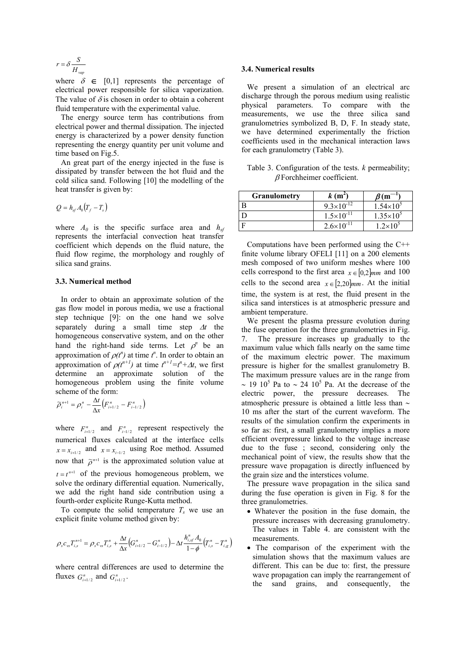$$
r = \delta \frac{S}{H_{vap}}
$$

where  $\delta \in [0,1]$  represents the percentage of electrical power responsible for silica vaporization. The value of  $\delta$  is chosen in order to obtain a coherent fluid temperature with the experimental value.

The energy source term has contributions from electrical power and thermal dissipation. The injected energy is characterized by a power density function representing the energy quantity per unit volume and time based on Fig.5.

An great part of the energy injected in the fuse is dissipated by transfer between the hot fluid and the cold silica sand. Following [10] the modelling of the heat transfer is given by:

$$
Q = h_{sf} A_0 (T_f - T_s)
$$

where  $A_0$  is the specific surface area and  $h_{sf}$ represents the interfacial convection heat transfer coefficient which depends on the fluid nature, the fluid flow regime, the morphology and roughly of silica sand grains.

#### **3.3. Numerical method**

In order to obtain an approximate solution of the gas flow model in porous media, we use a fractional step technique [9]: on the one hand we solve separately during a small time step ∆*t* the homogeneous conservative system, and on the other hand the right-hand side terms. Let  $\rho^n$  be an approximation of  $\rho(t^n)$  at time  $t^n$ . In order to obtain an approximation of  $\rho(t^{n+1})$  at time  $t^{n+1} = t^n + \Delta t$ , we first determine an approximate solution of the homogeneous problem using the finite volume scheme of the form:

$$
\widetilde{\rho}_{i}^{n+1} = \rho_{i}^{n} - \frac{\Delta t}{\Delta x} (F_{i+1/2}^{n} - F_{i-1/2}^{n})
$$

where  $F_{i+1/2}^n$  and  $F_{i-1/2}^n$  represent respectively the numerical fluxes calculated at the interface cells  $x = x_{i+1/2}$  and  $x = x_{i-1/2}$  using Roe method. Assumed now that  $\tilde{\rho}^{n+1}$  is the approximated solution value at  $t = t^{n+1}$  of the previous homogeneous problem, we solve the ordinary differential equation. Numerically, we add the right hand side contribution using a fourth-order explicite Runge-Kutta method.

To compute the solid temperature  $T_s$  we use an explicit finite volume method given by:

$$
\rho_s c_{vs} T_{i,s}^{n+1} = \rho_s c_{vs} T_{i,s}^n + \frac{\Delta t}{\Delta x} \Big( G_{i+1/2}^n - G_{i-1/2}^n \Big) - \Delta t \frac{h_{i,sf}^n A_0}{1 - \phi} \Big( T_{i,s}^n - T_{i,s}^n \Big)
$$

where central differences are used to determine the fluxes  $G_{i+1/2}^n$  and  $G_{i+1/2}^n$ .

#### **3.4. Numerical results**

We present a simulation of an electrical arc discharge through the porous medium using realistic physical parameters. To compare with the measurements, we use the three silica sand granulometries symbolized B, D, F. In steady state, we have determined experimentally the friction coefficients used in the mechanical interaction laws for each granulometry (Table 3).

Table 3. Configuration of the tests. *k* permeability; β Forchheimer coefficient.

| <b>Granulometry</b> | $k(m^2)$              | $\beta(m)$         |
|---------------------|-----------------------|--------------------|
|                     | $9.3\times10^{-12}$   | $1.54\times10^{5}$ |
|                     | $1.5 \times 10^{-11}$ | $1.35\times10^{5}$ |
|                     | $2.6 \times 10^{-11}$ | $1.2 \times 10^5$  |

Computations have been performed using the C++ finite volume library OFELI [11] on a 200 elements mesh composed of two uniform meshes where 100 cells correspond to the first area  $x \in [0,2]_{mm}$  and 100 cells to the second area  $x \in [2, 20]$ *mm*. At the initial time, the system is at rest, the fluid present in the silica sand interstices is at atmospheric pressure and ambient temperature.

We present the plasma pressure evolution during the fuse operation for the three granulometries in Fig. 7. The pressure increases up gradually to the maximum value which falls nearly on the same time of the maximum electric power. The maximum pressure is higher for the smallest granulometry B. The maximum pressure values are in the range from ~ 19 10<sup>5</sup> Pa to ~ 24 10<sup>5</sup> Pa. At the decrease of the electric power, the pressure decreases. The atmospheric pressure is obtained a little less than ∼ 10 ms after the start of the current waveform. The results of the simulation confirm the experiments in so far as: first, a small granulometry implies a more efficient overpressure linked to the voltage increase due to the fuse ; second, considering only the mechanical point of view, the results show that the pressure wave propagation is directly influenced by the grain size and the interstices volume.

The pressure wave propagation in the silica sand during the fuse operation is given in Fig. 8 for the three granulometries.

- Whatever the position in the fuse domain, the pressure increases with decreasing granulometry. The values in Table 4. are consistent with the measurements.
- The comparison of the experiment with the simulation shows that the maximum values are different. This can be due to: first, the pressure wave propagation can imply the rearrangement of the sand grains, and consequently, the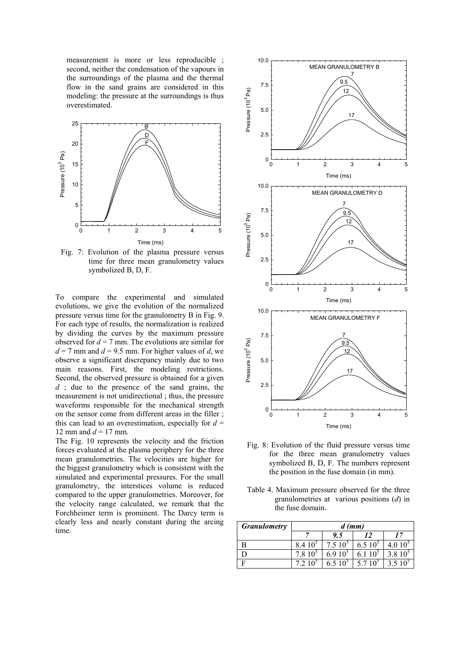measurement is more or less reproducible ; second, neither the condensation of the vapours in the surroundings of the plasma and the thermal flow in the sand grains are considered in this modeling: the pressure at the surroundings is thus overestimated.



Fig. 7: Evolution of the plasma pressure versus time for three mean granulometry values symbolized B, D, F.

To compare the experimental and simulated evolutions, we give the evolution of the normalized pressure versus time for the granulometry B in Fig. 9. For each type of results, the normalization is realized by dividing the curves by the maximum pressure observed for  $d = 7$  mm. The evolutions are similar for  $d = 7$  mm and  $d = 9.5$  mm. For higher values of *d*, we observe a significant discrepancy mainly due to two main reasons. First, the modeling restrictions. Second, the observed pressure is obtained for a given *d* ; due to the presence of the sand grains, the measurement is not unidirectional ; thus, the pressure waveforms responsible for the mechanical strength on the sensor come from different areas in the filler ; this can lead to an overestimation, especially for  $d =$ 12 mm and  $d = 17$  mm.

The Fig. 10 represents the velocity and the friction forces evaluated at the plasma periphery for the three mean granulometries. The velocities are higher for the biggest granulometry which is consistent with the simulated and experimental pressures. For the small granulometry, the interstices volume is reduced compared to the upper granulometries. Moreover, for the velocity range calculated, we remark that the Forchheimer term is prominent. The Darcy term is clearly less and nearly constant during the arcing time.



Fig. 8: Evolution of the fluid pressure versus time for the three mean granulometry values symbolized B, D, F. The numbers represent the position in the fuse domain (in mm).

Table 4. Maximum pressure observed for the three granulometries at various positions (*d*) in the fuse domain.

| <b>Granulometry</b> | $d$ (mm)               |                    |                        |                    |  |
|---------------------|------------------------|--------------------|------------------------|--------------------|--|
|                     |                        | 9.5                | 12                     |                    |  |
| B                   | 10 <sup>5</sup><br>8.4 | $7.510^5$          | 6.510 <sup>5</sup>     | 4.010 <sup>5</sup> |  |
|                     |                        | 6.910 <sup>5</sup> | 10 <sup>5</sup><br>6.1 | $3.810^{5}$        |  |
|                     |                        | 6.5 $10^5$         | 10 <sup>5</sup>        | $3.510^5$          |  |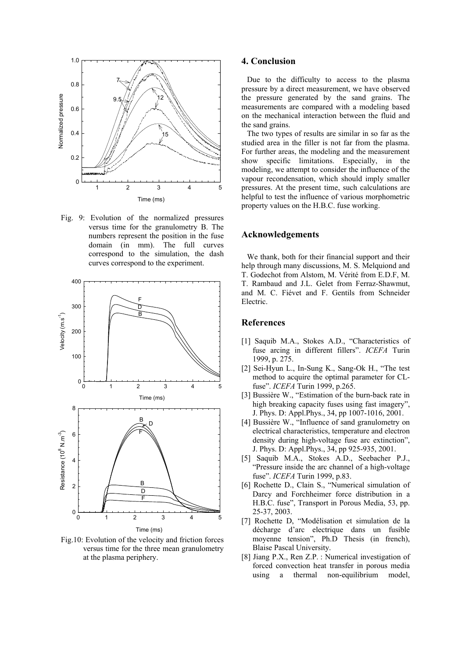

Fig. 9: Evolution of the normalized pressures versus time for the granulometry B. The numbers represent the position in the fuse domain (in mm). The full curves correspond to the simulation, the dash curves correspond to the experiment.



Fig.10: Evolution of the velocity and friction forces versus time for the three mean granulometry at the plasma periphery.

## **4. Conclusion**

Due to the difficulty to access to the plasma pressure by a direct measurement, we have observed the pressure generated by the sand grains. The measurements are compared with a modeling based on the mechanical interaction between the fluid and the sand grains.

The two types of results are similar in so far as the studied area in the filler is not far from the plasma. For further areas, the modeling and the measurement show specific limitations. Especially, in the modeling, we attempt to consider the influence of the vapour recondensation, which should imply smaller pressures. At the present time, such calculations are helpful to test the influence of various morphometric property values on the H.B.C. fuse working.

# **Acknowledgements**

We thank, both for their financial support and their help through many discussions, M. S. Melquiond and T. Godechot from Alstom, M. Vérité from E.D.F, M. T. Rambaud and J.L. Gelet from Ferraz-Shawmut, and M. C. Fiévet and F. Gentils from Schneider Electric.

## **References**

- [1] Saquib M.A., Stokes A.D., "Characteristics of fuse arcing in different fillers". *ICEFA* Turin 1999, p. 275.
- [2] Sei-Hyun L., In-Sung K., Sang-Ok H., "The test method to acquire the optimal parameter for CLfuse". *ICEFA* Turin 1999, p.265.
- [3] Bussière W., "Estimation of the burn-back rate in high breaking capacity fuses using fast imagery", J. Phys. D: Appl.Phys., 34, pp 1007-1016, 2001.
- [4] Bussière W., "Influence of sand granulometry on electrical characteristics, temperature and electron density during high-voltage fuse arc extinction", J. Phys. D: Appl.Phys., 34, pp 925-935, 2001.
- [5] Saquib M.A., Stokes A.D., Seebacher P.J., "Pressure inside the arc channel of a high-voltage fuse". *ICEFA* Turin 1999, p.83.
- [6] Rochette D., Clain S., "Numerical simulation of Darcy and Forchheimer force distribution in a H.B.C. fuse", Transport in Porous Media, 53, pp. 25-37, 2003.
- [7] Rochette D, "Modélisation et simulation de la décharge d'arc electrique dans un fusible moyenne tension", Ph.D Thesis (in french), Blaise Pascal University.
- [8] Jiang P.X., Ren Z.P. : Numerical investigation of forced convection heat transfer in porous media using a thermal non-equilibrium model,